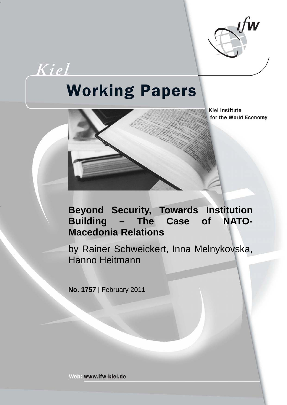

Kiel

# **Working Papers**

**Kiel Institute** for the World Economy

# **Beyond Security, Towards Institution Building – The Case of NATO-Macedonia Relations**

by Rainer Schweickert, Inna Melnykovska, Hanno Heitmann

**No. 1757** | February 2011

Web: www.ifw-kiel.de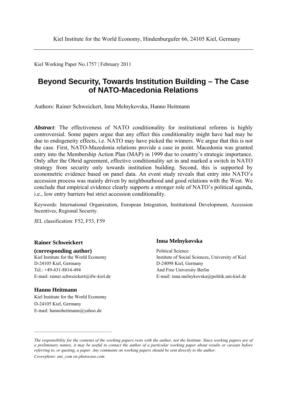Kiel Working Paper No.1757 | February 2011

## **Beyond Security, Towards Institution Building – The Case of NATO-Macedonia Relations**

Authors: Rainer Schweickert, Inna Melnykovska, Hanno Heitmann

*Abstract*: The effectiveness of NATO conditionality for institutional reforms is highly controversial. Some papers argue that any effect this conditionality might have had may be due to endogeneity effects, i.e. NATO may have picked the winners. We argue that this is not the case. First, NATO-Mazedonia relations provide a case in point. Macedonia was granted entry into the Membership Action Plan (MAP) in 1999 due to country's strategic importance. Only after the Ohrid agreement, effective conditionality set in and marked a switch in NATO strategy from security only towards institution building. Second, this is supported by econometric evidence based on panel data. An event study reveals that entry into NATO's accession process was mainly driven by neighbourhood and good relations with the West. We conclude that empirical evidence clearly supports a stronger role of NATO's political agenda, i.e., low entry barriers but strict accession conditionality.

Keywords: International Organization, European Integration, Institutional Development, Accession Incentives, Regional Security.

JEL classification: F52, F53, F59

**(corresponding author)** Political Science D-24105 Kiel, Germany D-24098 Kiel, Germany Tel.: +49-431-8814-494 And Free University Berlin

#### **Hanno Heitmann**

Kiel Institute for the World Economy D-24105 Kiel, Germany E-mail: hannoheitmann@yahoo.de

#### **Rainer Schweickert Inna Melnykovska**

Kiel Institute for the World Economy Institute of Social Sciences, University of Kiel E-mail: rainer.schweickert@ifw-kiel.de E-mail: inna.melnykovska@politik.uni-kiel.de

*The responsibility for the contents of the working papers rests with the author, not the Institute. Since working papers are of a preliminary nature, it may be useful to contact the author of a particular working paper about results or caveats before referring to, or quoting, a paper. Any comments on working papers should be sent directly to the author. Coverphoto: uni\_com on photocase.com*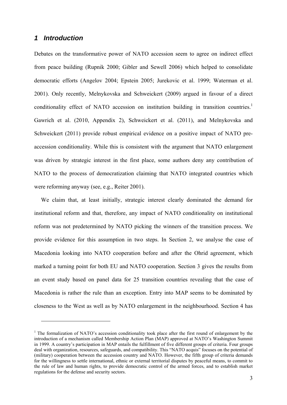#### *1 Introduction*

1

Debates on the transformative power of NATO accession seem to agree on indirect effect from peace building (Rupnik 2000; Gibler and Sewell 2006) which helped to consolidate democratic efforts (Angelov 2004; Epstein 2005; Jurekovic et al. 1999; Waterman et al. 2001). Only recently, Melnykovska and Schweickert (2009) argued in favour of a direct conditionality effect of NATO accession on institution building in transition countries.<sup>1</sup> Gawrich et al. (2010, Appendix 2), Schweickert et al. (2011), and Melnykovska and Schweickert (2011) provide robust empirical evidence on a positive impact of NATO preaccession conditionality. While this is consistent with the argument that NATO enlargement was driven by strategic interest in the first place, some authors deny any contribution of NATO to the process of democratization claiming that NATO integrated countries which were reforming anyway (see, e.g., Reiter 2001).

We claim that, at least initially, strategic interest clearly dominated the demand for institutional reform and that, therefore, any impact of NATO conditionality on institutional reform was not predetermined by NATO picking the winners of the transition process. We provide evidence for this assumption in two steps. In Section 2, we analyse the case of Macedonia looking into NATO cooperation before and after the Ohrid agreement, which marked a turning point for both EU and NATO cooperation. Section 3 gives the results from an event study based on panel data for 25 transition countries revealing that the case of Macedonia is rather the rule than an exception. Entry into MAP seems to be dominated by closeness to the West as well as by NATO enlargement in the neighbourhood. Section 4 has

<sup>&</sup>lt;sup>1</sup> The formalization of NATO's accession conditionality took place after the first round of enlargement by the introduction of a mechanism called Membership Action Plan (MAP) approved at NATO's Washington Summit in 1999. A country's participation in MAP entails the fulfillment of five different groups of criteria. Four groups deal with organization, resources, safeguards, and compatibility. This "NATO acquis" focuses on the potential of (military) cooperation between the accession country and NATO. However, the fifth group of criteria demands for the willingness to settle international, ethnic or external territorial disputes by peaceful means, to commit to the rule of law and human rights, to provide democratic control of the armed forces, and to establish market regulations for the defense and security sectors.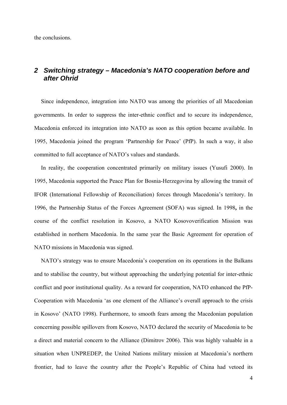the conclusions.

#### *2 Switching strategy – Macedonia's NATO cooperation before and after Ohrid*

Since independence, integration into NATO was among the priorities of all Macedonian governments. In order to suppress the inter-ethnic conflict and to secure its independence, Macedonia enforced its integration into NATO as soon as this option became available. In 1995, Macedonia joined the program 'Partnership for Peace' (PfP). In such a way, it also committed to full acceptance of NATO's values and standards.

In reality, the cooperation concentrated primarily on military issues (Yusufi 2000). In 1995, Macedonia supported the Peace Plan for Bosnia-Herzegovina by allowing the transit of IFOR (International Fellowship of Reconciliation) forces through Macedonia's territory. In 1996, the Partnership Status of the Forces Agreement (SOFA) was signed. In 1998**,** in the course of the conflict resolution in Kosovo, a NATO Kosovoverification Mission was established in northern Macedonia. In the same year the Basic Agreement for operation of NATO missions in Macedonia was signed.

NATO's strategy was to ensure Macedonia's cooperation on its operations in the Balkans and to stabilise the country, but without approaching the underlying potential for inter-ethnic conflict and poor institutional quality. As a reward for cooperation, NATO enhanced the PfP-Cooperation with Macedonia 'as one element of the Alliance's overall approach to the crisis in Kosovo' (NATO 1998). Furthermore, to smooth fears among the Macedonian population concerning possible spillovers from Kosovo, NATO declared the security of Macedonia to be a direct and material concern to the Alliance (Dimitrov 2006). This was highly valuable in a situation when UNPREDEP, the United Nations military mission at Macedonia's northern frontier, had to leave the country after the People's Republic of China had vetoed its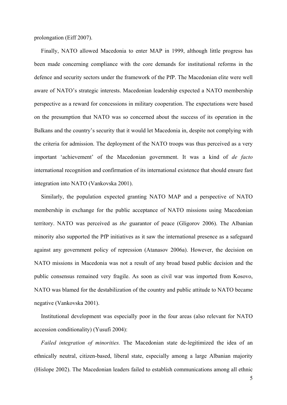prolongation (Eiff 2007).

Finally, NATO allowed Macedonia to enter MAP in 1999, although little progress has been made concerning compliance with the core demands for institutional reforms in the defence and security sectors under the framework of the PfP. The Macedonian elite were well aware of NATO's strategic interests. Macedonian leadership expected a NATO membership perspective as a reward for concessions in military cooperation. The expectations were based on the presumption that NATO was so concerned about the success of its operation in the Balkans and the country's security that it would let Macedonia in, despite not complying with the criteria for admission. The deployment of the NATO troops was thus perceived as a very important 'achievement' of the Macedonian government. It was a kind of *de facto*  international recognition and confirmation of its international existence that should ensure fast integration into NATO (Vankovska 2001).

Similarly, the population expected granting NATO MAP and a perspective of NATO membership in exchange for the public acceptance of NATO missions using Macedonian territory. NATO was perceived as *the* guarantor of peace (Gligorov 2006). The Albanian minority also supported the PfP initiatives as it saw the international presence as a safeguard against any government policy of repression (Atanasov 2006a). However, the decision on NATO missions in Macedonia was not a result of any broad based public decision and the public consensus remained very fragile. As soon as civil war was imported from Kosovo, NATO was blamed for the destabilization of the country and public attitude to NATO became negative (Vankovska 2001).

Institutional development was especially poor in the four areas (also relevant for NATO accession conditionality) (Yusufi 2004):

*Failed integration of minorities.* The Macedonian state de-legitimized the idea of an ethnically neutral, citizen-based, liberal state, especially among a large Albanian majority (Hislope 2002). The Macedonian leaders failed to establish communications among all ethnic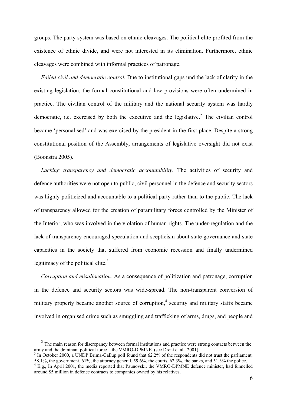groups. The party system was based on ethnic cleavages. The political elite profited from the existence of ethnic divide, and were not interested in its elimination. Furthermore, ethnic cleavages were combined with informal practices of patronage.

*Failed civil and democratic control.* Due to institutional gaps und the lack of clarity in the existing legislation, the formal constitutional and law provisions were often undermined in practice. The civilian control of the military and the national security system was hardly democratic, i.e. exercised by both the executive and the legislative.<sup>2</sup> The civilian control became 'personalised' and was exercised by the president in the first place. Despite a strong constitutional position of the Assembly, arrangements of legislative oversight did not exist (Boonstra 2005).

*Lacking transparency and democratic accountability.* The activities of security and defence authorities were not open to public; civil personnel in the defence and security sectors was highly politicized and accountable to a political party rather than to the public. The lack of transparency allowed for the creation of paramilitary forces controlled by the Minister of the Interior, who was involved in the violation of human rights. The under-regulation and the lack of transparency encouraged speculation and scepticism about state governance and state capacities in the society that suffered from economic recession and finally undermined legitimacy of the political elite. $3$ 

*Corruption and misallocation.* As a consequence of politization and patronage, corruption in the defence and security sectors was wide-spread. The non-transparent conversion of military property became another source of corruption,<sup>4</sup> security and military staffs became involved in organised crime such as smuggling and trafficking of arms, drugs, and people and

 $2\degree$  The main reason for discrepancy between formal institutions and practice were strong contacts between the army and the dominant political force – the VMRO-DPMNE (see Drent et al. 2001)

<sup>&</sup>lt;sup>3</sup> In October 2000, a UNDP Brima-Gallup poll found that 62.2% of the respondents did not trust the parliament, 58.1%, the government, 61%, the attorney general, 59.6%, the courts, 62.3%, the banks, and 51.3% the police. 4

E.g., In April 2001, the media reported that Paunovski, the VMRO-DPMNE defence minister, had funnelled around \$5 million in defence contracts to companies owned by his relatives.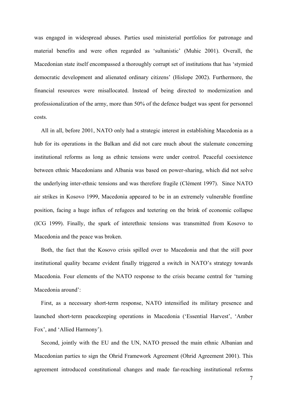was engaged in widespread abuses. Parties used ministerial portfolios for patronage and material benefits and were often regarded as 'sultanistic' (Muhic 2001). Overall, the Macedonian state itself encompassed a thoroughly corrupt set of institutions that has 'stymied democratic development and alienated ordinary citizens' (Hislope 2002). Furthermore, the financial resources were misallocated. Instead of being directed to modernization and professionalization of the army, more than 50% of the defence budget was spent for personnel costs.

All in all, before 2001, NATO only had a strategic interest in establishing Macedonia as a hub for its operations in the Balkan and did not care much about the stalemate concerning institutional reforms as long as ethnic tensions were under control. Peaceful coexistence between ethnic Macedonians and Albania was based on power-sharing, which did not solve the underlying inter-ethnic tensions and was therefore fragile (Clément 1997). Since NATO air strikes in Kosovo 1999, Macedonia appeared to be in an extremely vulnerable frontline position, facing a huge influx of refugees and teetering on the brink of economic collapse (ICG 1999). Finally, the spark of interethnic tensions was transmitted from Kosovo to Macedonia and the peace was broken.

Both, the fact that the Kosovo crisis spilled over to Macedonia and that the still poor institutional quality became evident finally triggered a switch in NATO's strategy towards Macedonia. Four elements of the NATO response to the crisis became central for 'turning Macedonia around':

First, as a necessary short-term response, NATO intensified its military presence and launched short-term peacekeeping operations in Macedonia ('Essential Harvest', 'Amber Fox', and 'Allied Harmony').

Second, jointly with the EU and the UN, NATO pressed the main ethnic Albanian and Macedonian parties to sign the Ohrid Framework Agreement (Ohrid Agreement 2001). This agreement introduced constitutional changes and made far-reaching institutional reforms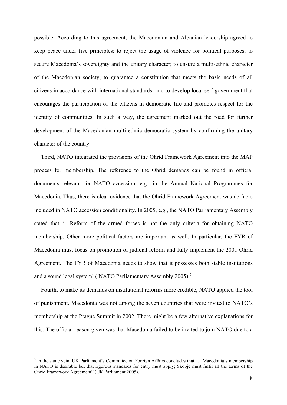possible. According to this agreement, the Macedonian and Albanian leadership agreed to keep peace under five principles: to reject the usage of violence for political purposes; to secure Macedonia's sovereignty and the unitary character; to ensure a multi-ethnic character of the Macedonian society; to guarantee a constitution that meets the basic needs of all citizens in accordance with international standards; and to develop local self-government that encourages the participation of the citizens in democratic life and promotes respect for the identity of communities. In such a way, the agreement marked out the road for further development of the Macedonian multi-ethnic democratic system by confirming the unitary character of the country.

Third, NATO integrated the provisions of the Ohrid Framework Agreement into the MAP process for membership. The reference to the Ohrid demands can be found in official documents relevant for NATO accession, e.g., in the Annual National Programmes for Macedonia. Thus, there is clear evidence that the Ohrid Framework Agreement was de-facto included in NATO accession conditionality. In 2005, e.g., the NATO Parliamentary Assembly stated that '…Reform of the armed forces is not the only criteria for obtaining NATO membership. Other more political factors are important as well. In particular, the FYR of Macedonia must focus on promotion of judicial reform and fully implement the 2001 Ohrid Agreement. The FYR of Macedonia needs to show that it possesses both stable institutions and a sound legal system' (NATO Parliamentary Assembly  $2005$ ).<sup>5</sup>

Fourth, to make its demands on institutional reforms more credible, NATO applied the tool of punishment. Macedonia was not among the seven countries that were invited to NATO's membership at the Prague Summit in 2002. There might be a few alternative explanations for this. The official reason given was that Macedonia failed to be invited to join NATO due to a

<sup>&</sup>lt;sup>5</sup> In the same vein, UK Parliament's Committee on Foreign Affairs concludes that "...Macedonia's membership in NATO is desirable but that rigorous standards for entry must apply; Skopje must fulfil all the terms of the Ohrid Framework Agreement" (UK Parliament 2005).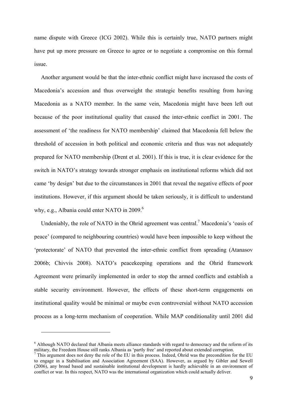name dispute with Greece (ICG 2002). While this is certainly true, NATO partners might have put up more pressure on Greece to agree or to negotiate a compromise on this formal issue.

Another argument would be that the inter-ethnic conflict might have increased the costs of Macedonia's accession and thus overweight the strategic benefits resulting from having Macedonia as a NATO member. In the same vein, Macedonia might have been left out because of the poor institutional quality that caused the inter-ethnic conflict in 2001. The assessment of 'the readiness for NATO membership' claimed that Macedonia fell below the threshold of accession in both political and economic criteria and thus was not adequately prepared for NATO membership (Drent et al. 2001). If this is true, it is clear evidence for the switch in NATO's strategy towards stronger emphasis on institutional reforms which did not came 'by design' but due to the circumstances in 2001 that reveal the negative effects of poor institutions. However, if this argument should be taken seriously, it is difficult to understand why, e.g., Albania could enter NATO in  $2009$ .<sup>6</sup>

Undeniably, the role of NATO in the Ohrid agreement was central.<sup>7</sup> Macedonia's 'oasis of peace' (compared to neighbouring countries) would have been impossible to keep without the 'protectorate' of NATO that prevented the inter-ethnic conflict from spreading (Atanasov 2006b; Chivvis 2008). NATO's peacekeeping operations and the Ohrid framework Agreement were primarily implemented in order to stop the armed conflicts and establish a stable security environment. However, the effects of these short-term engagements on institutional quality would be minimal or maybe even controversial without NATO accession process as a long-term mechanism of cooperation. While MAP conditionality until 2001 did

<sup>&</sup>lt;sup>6</sup> Although NATO declared that Albania meets alliance standards with regard to democracy and the reform of its military, the Freedom House still ranks Albania as 'partly free' and reported about extended corruption. 7

<sup>&</sup>lt;sup>7</sup> This argument does not deny the role of the EU in this process. Indeed, Ohrid was the precondition for the EU to engage in a Stabilisation and Association Agreement (SAA). However, as argued by Gibler and Sewell (2006), any broad based and sustainable institutional development is hardly achievable in an environment of conflict or war. In this respect, NATO was the international organization which could actually deliver.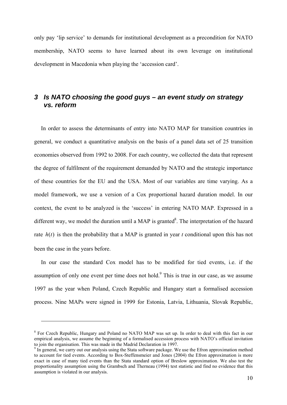only pay 'lip service' to demands for institutional development as a precondition for NATO membership, NATO seems to have learned about its own leverage on institutional development in Macedonia when playing the 'accession card'.

#### *3 Is NATO choosing the good guys – an event study on strategy vs. reform*

In order to assess the determinants of entry into NATO MAP for transition countries in general, we conduct a quantitative analysis on the basis of a panel data set of 25 transition economies observed from 1992 to 2008. For each country, we collected the data that represent the degree of fulfilment of the requirement demanded by NATO and the strategic importance of these countries for the EU and the USA. Most of our variables are time varying. As a model framework, we use a version of a Cox proportional hazard duration model. In our context, the event to be analyzed is the 'success' in entering NATO MAP. Expressed in a different way, we model the duration until a MAP is granted<sup>8</sup>. The interpretation of the hazard rate  $h(t)$  is then the probability that a MAP is granted in year *t* conditional upon this has not been the case in the years before.

In our case the standard Cox model has to be modified for tied events, i.e. if the assumption of only one event per time does not hold. $9$  This is true in our case, as we assume 1997 as the year when Poland, Czech Republic and Hungary start a formalised accession process. Nine MAPs were signed in 1999 for Estonia, Latvia, Lithuania, Slovak Republic,

<sup>&</sup>lt;sup>8</sup> For Czech Republic, Hungary and Poland no NATO MAP was set up. In order to deal with this fact in our empirical analysis, we assume the beginning of a formalised accession process with NATO's official invitation to join the organisation. This was made in the Madrid Declaration in 1997.

<sup>&</sup>lt;sup>9</sup> In general, we carry out our analysis using the Stata software package. We use the Efron approximation method to account for tied events. According to Box-Steffensmeier and Jones (2004) the Efron approximation is more exact in case of many tied events than the Stata standard option of Breslow approximation. We also test the proportionality assumption using the Grambsch and Therneau (1994) test statistic and find no evidence that this assumption is violated in our analysis.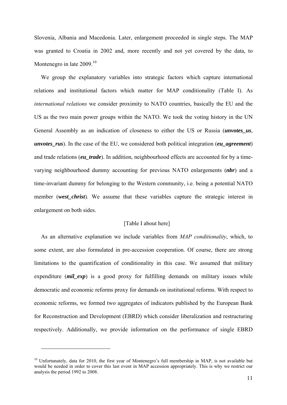Slovenia, Albania and Macedonia. Later, enlargement proceeded in single steps. The MAP was granted to Croatia in 2002 and, more recently and not yet covered by the data, to Montenegro in late  $2009$ <sup>10</sup>

We group the explanatory variables into strategic factors which capture international relations and institutional factors which matter for MAP conditionality (Table I). As *international relations* we consider proximity to NATO countries, basically the EU and the US as the two main power groups within the NATO. We took the voting history in the UN General Assembly as an indication of closeness to either the US or Russia (*unvotes\_us*, *unvotes\_rus*). In the case of the EU, we considered both political integration (*eu\_agreement*) and trade relations (*eu\_trade*). In addition, neighbourhood effects are accounted for by a timevarying neighbourhood dummy accounting for previous NATO enlargements (*nbr*) and a time-invariant dummy for belonging to the Western community, i.e. being a potential NATO member (*west\_christ*). We assume that these variables capture the strategic interest in enlargement on both sides.

#### [Table I about here]

As an alternative explanation we include variables from *MAP conditionality*, which, to some extent, are also formulated in pre-accession cooperation. Of course, there are strong limitations to the quantification of conditionality in this case. We assumed that military expenditure *(mil exp*) is a good proxy for fulfilling demands on military issues while democratic and economic reforms proxy for demands on institutional reforms. With respect to economic reforms, we formed two aggregates of indicators published by the European Bank for Reconstruction and Development (EBRD) which consider liberalization and restructuring respectively. Additionally, we provide information on the performance of single EBRD

<sup>&</sup>lt;sup>10</sup> Unfortunately, data for 2010, the first year of Montenegro's full membership in MAP, is not available but would be needed in order to cover this last event in MAP accession appropriately. This is why we restrict our analysis the period 1992 to 2008.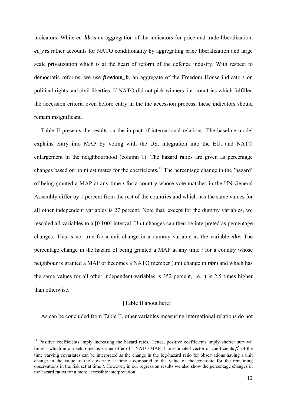indicators. While *ec\_lib* is an aggregation of the indicators for price and trade liberalization, *ec\_res* rather accounts for NATO conditionality by aggregating price liberalization and large scale privatization which is at the heart of reform of the defence industry. With respect to democratic reforms, we use *freedom\_h*, an aggregate of the Freedom House indicators on political rights and civil liberties. If NATO did not pick winners, i.e. countries which fulfilled the accession criteria even before entry in the the accession process, these indicators should remain insignificant.

Table II presents the results on the impact of international relations. The baseline model explains entry into MAP by voting with the US, integration into the EU, and NATO enlargement in the neighbourhood (column 1). The hazard ratios are given as percentage changes based on point estimates for the coefficients.11 The percentage change in the 'hazard' of being granted a MAP at any time *t* for a country whose vote matches in the UN General Assembly differ by 1 percent from the rest of the countries and which has the same values for all other independent variables is 27 percent. Note that, except for the dummy variables, we rescaled all variables to a [0,100] interval. Unit changes can then be interpreted as percentage changes. This is not true for a unit change in a dummy variable as the variable *nbr*: The percentage change in the hazard of being granted a MAP at any time *t* for a country whose neighbour is granted a MAP or becomes a NATO member (unit change in *nbr*) and which has the same values for all other independent variables is 352 percent, i.e. it is 2.5 times higher than otherwise.

#### [Table II about here]

As can be concluded from Table II, other variables measuring international relations do not

<u>.</u>

<sup>&</sup>lt;sup>11</sup> Positive coefficients imply increasing the hazard rates. Hence, positive coefficients imply shorter survival times - which in our setup means earlier offer of a NATO MAP. The estimated vector of coefficients  $\beta$  of the time varying covariates can be interpreted as the change in the log-hazard ratio for observations having a unit change in the value of the covariate at time *t* compared to the value of the covariate for the remaining observations in the risk set at time *t*. However, in our regression results we also show the percentage changes in the hazard ratios for a more accessible interpretation.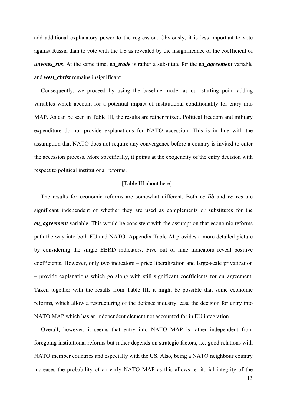add additional explanatory power to the regression. Obviously, it is less important to vote against Russia than to vote with the US as revealed by the insignificance of the coefficient of *unvotes rus.* At the same time, *eu\_trade* is rather a substitute for the *eu\_agreement* variable and *west\_christ* remains insignificant.

Consequently, we proceed by using the baseline model as our starting point adding variables which account for a potential impact of institutional conditionality for entry into MAP. As can be seen in Table III, the results are rather mixed. Political freedom and military expenditure do not provide explanations for NATO accession. This is in line with the assumption that NATO does not require any convergence before a country is invited to enter the accession process. More specifically, it points at the exogeneity of the entry decision with respect to political institutional reforms.

#### [Table III about here]

The results for economic reforms are somewhat different. Both *ec\_lib* and *ec\_res* are significant independent of whether they are used as complements or substitutes for the *eu\_agreement* variable. This would be consistent with the assumption that economic reforms path the way into both EU and NATO. Appendix Table AI provides a more detailed picture by considering the single EBRD indicators. Five out of nine indicators reveal positive coefficients. However, only two indicators – price liberalization and large-scale privatization – provide explanations which go along with still significant coefficients for eu\_agreement. Taken together with the results from Table III, it might be possible that some economic reforms, which allow a restructuring of the defence industry, ease the decision for entry into NATO MAP which has an independent element not accounted for in EU integration.

Overall, however, it seems that entry into NATO MAP is rather independent from foregoing institutional reforms but rather depends on strategic factors, i.e. good relations with NATO member countries and especially with the US. Also, being a NATO neighbour country increases the probability of an early NATO MAP as this allows territorial integrity of the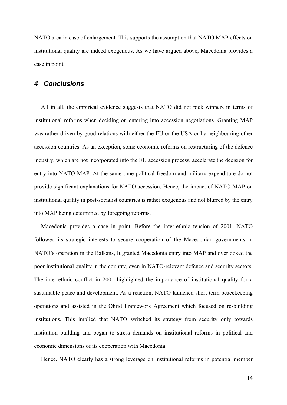NATO area in case of enlargement. This supports the assumption that NATO MAP effects on institutional quality are indeed exogenous. As we have argued above, Macedonia provides a case in point.

#### *4 Conclusions*

All in all, the empirical evidence suggests that NATO did not pick winners in terms of institutional reforms when deciding on entering into accession negotiations. Granting MAP was rather driven by good relations with either the EU or the USA or by neighbouring other accession countries. As an exception, some economic reforms on restructuring of the defence industry, which are not incorporated into the EU accession process, accelerate the decision for entry into NATO MAP. At the same time political freedom and military expenditure do not provide significant explanations for NATO accession. Hence, the impact of NATO MAP on institutional quality in post-socialist countries is rather exogenous and not blurred by the entry into MAP being determined by foregoing reforms.

Macedonia provides a case in point. Before the inter-ethnic tension of 2001, NATO followed its strategic interests to secure cooperation of the Macedonian governments in NATO's operation in the Balkans, It granted Macedonia entry into MAP and overlooked the poor institutional quality in the country, even in NATO-relevant defence and security sectors. The inter-ethnic conflict in 2001 highlighted the importance of institutional quality for a sustainable peace and development. As a reaction, NATO launched short-term peacekeeping operations and assisted in the Ohrid Framework Agreement which focused on re-building institutions. This implied that NATO switched its strategy from security only towards institution building and began to stress demands on institutional reforms in political and economic dimensions of its cooperation with Macedonia.

Hence, NATO clearly has a strong leverage on institutional reforms in potential member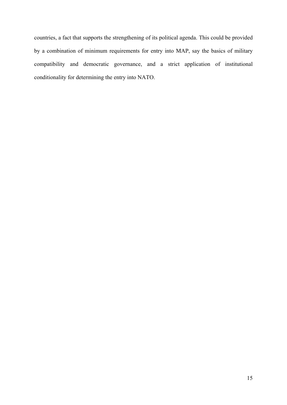countries, a fact that supports the strengthening of its political agenda. This could be provided by a combination of minimum requirements for entry into MAP, say the basics of military compatibility and democratic governance, and a strict application of institutional conditionality for determining the entry into NATO.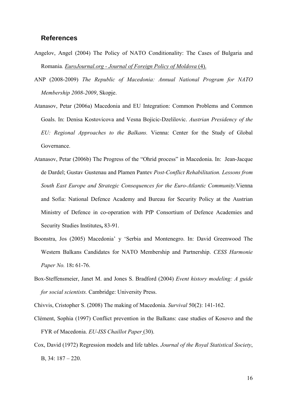#### **References**

- Angelov, Angel (2004) The Policy of NATO Conditionality: The Cases of Bulgaria and Romania*. EuroJournal.org - Journal of Foreign Policy of Moldova* (4).
- ANP (2008-2009) *The Republic оf Macedonia: Annual National Program for NATO Membership 2008-2009*, Skopje.
- Atanasov, Petar (2006a) Macedonia and EU Integration: Common Problems and Common Goals. In: Denisa Kostovicova and Vesna Bojicic-Dzelilovic. *Austrian Presidency of the EU: Regional Approaches to the Balkans.* Vienna: Center for the Study of Global Governance.
- Atanasov, Petar (2006b) The Progress of the "Ohrid process" in Macedonia. In: Jean-Jacque de Dardel; Gustav Gustenau and Plamen Pantev *Post-Conflict Rehabilitation. Lessons from South East Europe and Strategic Consequences for the Euro-Atlantic Community.*Vienna and Sofia: National Defence Academy and Bureau for Security Policy at the Austrian Ministry of Defence in co-operation with PfP Consortium of Defence Academies and Security Studies Institutes**,** 83-91.
- Boonstra, Jos (2005) Macedonia' y 'Serbia and Montenegro. In: David Greenwood The Western Balkans Candidates for NATO Membership and Partnership. *CESS Harmonie Paper No.* 18**:** 61-76.
- Box-Steffensmeier, Janet M. and Jones S. Bradford (2004) *Event history modeling: A guide for social scientists.* Cambridge: University Press.
- Chivvis, Cristopher S. (2008) The making of Macedonia. *Survival* 50(2): 141-162.
- Clément, Sophia (1997) Conflict prevention in the Balkans: case studies of Kosovo and the FYR of Macedonia. *EU-ISS Chaillot Paper* (30).
- Cox, David (1972) Regression models and life tables. *Journal of the Royal Statistical Society*, B, 34: 187 – 220.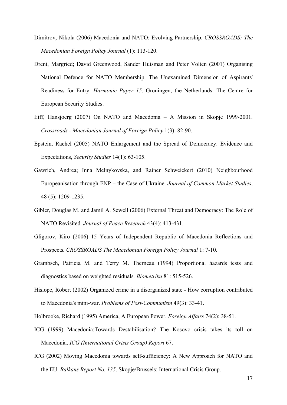- Dimitrov, Nikola (2006) Macedonia and NATO: Evolving Partnership. *CROSSROADS: The Macedonian Foreign Policy Journal* (1): 113-120.
- Drent, Margried; David Greenwood, Sander Huisman and Peter Volten (2001) Organising National Defence for NATO Membership. The Unexamined Dimension of Aspirants' Readiness for Entry. *Harmonie Paper 15*. Groningen, the Netherlands: The Centre for European Security Studies.
- Eiff, Hansjoerg (2007) On NATO and Macedonia A Mission in Skopje 1999-2001. *Crossroads - Macedonian Journal of Foreign Policy* 1(3): 82-90.
- Epstein, Rachel (2005) NATO Enlargement and the Spread of Democracy: Evidence and Expectations, *Security Studies* 14(1): 63-105.
- Gawrich, Andrea; Inna Melnykovska, and Rainer Schweickert (2010) Neighbourhood Europeanisation through ENP – the Case of Ukraine. *Journal of Common Market Studies*, 48 (5): 1209-1235.
- Gibler, Douglas M. and Jamil A. Sewell (2006) External Threat and Democracy: The Role of NATO Revisited. *Journal of Peace Research* 43(4): 413-431.
- Gligorov, Kiro (2006) 15 Years of Independent Republic of Macedonia Reflections and Prospects*. CROSSROADS The Macedonian Foreign Policy Journal* 1: 7-10.
- Grambsch, Patricia M. and Terry M. Therneau (1994) Proportional hazards tests and diagnostics based on weighted residuals*. Biometrika* 81: 515-526.
- Hislope, Robert (2002) Organized crime in a disorganized state How corruption contributed to Macedonia's mini-war. *Problems of Post-Communism* 49(3): 33-41.

Holbrooke, Richard (1995) America, A European Power. *Foreign Affairs* 74(2): 38-51.

- ICG (1999) Macedonia:Towards Destabilisation? The Kosovo crisis takes its toll on Macedonia. *ICG (International Crisis Group) Report* 67.
- ICG (2002) Moving Macedonia towards self-sufficiency: A New Approach for NATO and the EU. *Balkans Report No. 135*. Skopje/Brussels: International Crisis Group.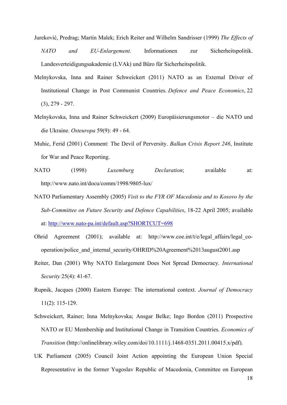- Jureković, Predrag; Martin Malek; Erich Reiter and Wilhelm Sandrisser (1999) *The Effects of NATO and EU-Enlargement.* Informationen zur Sicherheitspolitik. Landesverteidigungsakademie (LVAk) und Büro für Sicherheitspolitik.
- Melnykovska, Inna and Rainer Schweickert (2011) NATO as an External Driver of Institutional Change in Post Communist Countries. *Defence and Peace Economics*, 22 (3), 279 - 297.
- Melnykovska, Inna and Rainer Schweickert (2009) Europäisierungsmotor die NATO und die Ukraine. *Osteuropa* 59(9): 49 - 64.
- Muhic, Ferid (2001) Comment: The Devil of Perversity. *Balkan Crisis Report 246*, Institute for War and Peace Reporting.
- NATO (1998) *Luxemburg Declaration*; available at: http://www.nato.int/docu/comm/1998/9805-lux/
- NATO Parliamentary Assembly (2005) *Visit to the FYR OF Macedonia and to Kosovo by the Sub-Committee on Future Security and Defence Capabilities*, 18-22 April 2005; available at: http://www.nato-pa.int/default.asp?SHORTCUT=698
- Ohrid Agreement (2001); available at: http://www.coe.int/t/e/legal\_affairs/legal\_cooperation/police\_and\_internal\_security/OHRID%20Agreement%2013august2001.asp
- Reiter, Dan (2001) Why NATO Enlargement Does Not Spread Democracy*. International Security* 25(4): 41-67.
- Rupnik, Jacques (2000) Eastern Europe: The international context. *Journal of Democracy* 11(2): 115-129.
- Schweickert, Rainer; Inna Melnykovska; Ansgar Belke; Ingo Bordon (2011) Prospective NATO or EU Membership and Institutional Change in Transition Countries. *Economics of Transition* (http://onlinelibrary.wiley.com/doi/10.1111/j.1468-0351.2011.00415.x/pdf).
- UK Parliament (2005) Council Joint Action appointing the European Union Special Representative in the former Yugoslav Republic of Macedonia, Committee on European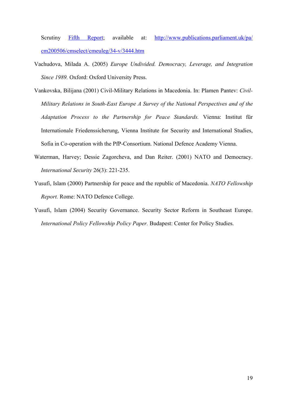Scrutiny Fifth Report; available at: http://www.publications.parliament.uk/pa/ cm200506/cmselect/cmeuleg/34-v/3444.htm

- Vachudova, Milada A. (2005) *Europe Undivided. Democracy, Leverage, and Integration Since 1989.* Oxford: Oxford University Press.
- Vankovska, Bilijana (2001) Civil-Military Relations in Macedonia. In: Plamen Pantev: *Civil-Military Relations in South-East Europe A Survey of the National Perspectives and of the Adaptation Process to the Partnership for Peace Standards.* Vienna: Institut für Internationale Friedenssicherung, Vienna Institute for Security and International Studies, Sofia in Co-operation with the PfP-Consortium. National Defence Academy Vienna.
- Waterman, Harvey; Dessie Zagorcheva, and Dan Reiter. (2001) NATO and Democracy. *International Security* 26(3): 221-235.
- Yusufi, Islam (2000) Partnership for peace and the republic of Macedonia. *NATO Fellowship Report.* Rome: NATO Defence College.
- Yusufi, Islam (2004) Security Governance. Security Sector Reform in Southeast Europe. *International Policy Fellowship Policy Paper.* Budapest: Center for Policy Studies.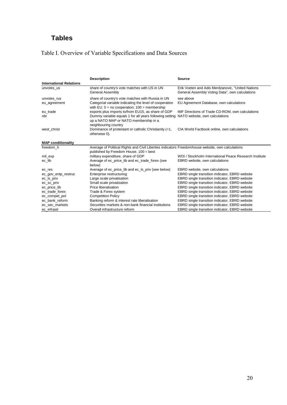# **Tables**

# Table I. Overview of Variable Specifications and Data Sources

|                                | <b>Description</b>                                                                                                                          | <b>Source</b>                                                                                        |
|--------------------------------|---------------------------------------------------------------------------------------------------------------------------------------------|------------------------------------------------------------------------------------------------------|
| <b>International Relations</b> |                                                                                                                                             |                                                                                                      |
| unvotes_us                     | share of country's vote matches with US in UN<br>General Assembly                                                                           | Erik Voeten and Adis Merdzanovic, "United Nations<br>General Assembly Voting Data", own calculations |
| unvotes rus                    | share of country's vote matches with Russia in UN                                                                                           | see above                                                                                            |
| eu_agreement                   | Categorial variable indicating the level of cooperation<br>with EU. $0 = no$ cooperation; $100 =$ membership                                | EU Agreement Database, own calculations                                                              |
| eu_trade                       | exports plus imports to/from EU15, as share of GDP                                                                                          | IMF Directions of Trade CD-ROM, own calculations                                                     |
| nbr                            | Dummy variable equals 1 for all years following setting NATO website, own calculations<br>up a NATO MAP or NATO membership in a             |                                                                                                      |
|                                | neighbouring country                                                                                                                        |                                                                                                      |
| west christ                    | Dominance of protestant or catholic Christianity (=1,<br>otherwise 0).                                                                      | CIA World Factbook online, own calculations                                                          |
| <b>MAP conditionality</b>      |                                                                                                                                             |                                                                                                      |
| freedom h                      | Average of Political Rights and Civil Liberties indicators Freedomhouse website, own calculations<br>published by Freedom House. 100 = best |                                                                                                      |
| mil_exp                        | military expenditure, share of GDP                                                                                                          | WDI / Stockholm International Peace Research Institute                                               |
| ec lib                         | Average of ec_price_lib and ec_trade_forex (see<br>below)                                                                                   | EBRD website, own calculations                                                                       |
| ec_res                         | Average of ec_price_lib and ec_ls_priv (see below)                                                                                          | EBRD website, own calculations                                                                       |
| ec_gov_entp_restruc            | Enterprise restructuring                                                                                                                    | EBRD single transition indicator, EBRD website                                                       |
| ec_ls_priv                     | Large scale privatisation                                                                                                                   | EBRD single transition indicator, EBRD website                                                       |
| ec_sc_priv                     | Small scale privatization                                                                                                                   | EBRD single transition indicator, EBRD website                                                       |
| ec_price_lib                   | Price liberalisation                                                                                                                        | EBRD single transition indicator, EBRD website                                                       |
| ec trade forex                 | Trade & Forex system                                                                                                                        | EBRD single transition indicator, EBRD website                                                       |
| ec_compet_pol                  | <b>Competition Policy</b>                                                                                                                   | EBRD single transition indicator, EBRD website                                                       |
| ec bank reform                 | Banking reform & interest rate liberalisation                                                                                               | EBRD single transition indicator, EBRD website                                                       |
| ec sec markets                 | Securities markets & non-bank financial institutions                                                                                        | EBRD single transition indicator, EBRD website                                                       |
| ec infrastr                    | Overall infrastructure reform                                                                                                               | EBRD single transition indicator, EBRD website                                                       |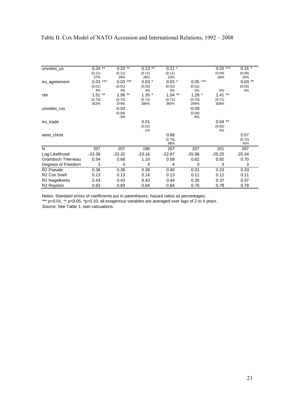#### Table II. Cox Model of NATO Accession and International Relations, 1992 – 2008

| unvotes_us                | $0.24$ **     | $0.23$ **   | $0.23$ **    | $0.21$ *      |           | ***<br>0.25  | $0.15$ *      |
|---------------------------|---------------|-------------|--------------|---------------|-----------|--------------|---------------|
|                           | (0.11)        | (0.11)      | (0.11)       | (0.11)        |           | (0.09)       | (0.09)        |
|                           | 27%           | 26%         | 26%          | 23%           |           | 28%          | 16%           |
| eu_agreement              | $0.03$ ***    | 0.03<br>*** | $0.03*$      | $0.03*$       | $0.05***$ |              | $0.03$ **     |
|                           | (0.01)        | (0.01)      | (0.02)       | (0.02)        | (0.01)    |              | (0.02)        |
|                           | 3%            | 4%          | 3%           | 3%            | 5%        | 0%           | 4%            |
| nbr                       | $***$<br>1.51 | $1.56$ **   | $1.35*$      | $***$<br>1.54 | $1.28*$   | $1.41***$    |               |
|                           | (0.73)        | (0.75)      | (0.74)       | (0.71)        | (0.70)    | (0.71)       |               |
|                           | 352%          | 374%        | 286%         | 365%          | 259%      | 308%         |               |
| unvotes_rus               |               | $-0.03$     |              |               | $-0.09$   |              |               |
|                           |               | (0.08)      |              |               | (0.08)    |              |               |
|                           |               | $-3%$       |              |               | $-8%$     |              |               |
| eu_trade                  |               |             | 0.01         |               |           | $0.04$ **    |               |
|                           |               |             | (0.02)<br>1% |               |           | (0.02)<br>4% |               |
|                           |               |             |              | 0.68          |           |              | 0.57          |
| west_christ               |               |             |              | (0.70)        |           |              |               |
|                           |               |             |              | 98%           |           |              | (0.72)<br>76% |
| $\overline{\mathsf{N}}$   | 207           | 207         | 196          | 207           | 207       | 201          | 207           |
| Log-Likelihood            | $-23.38$      | $-23.32$    | $-23.16$     | $-22.87$      | $-25.98$  | $-25.25$     | $-25.34$      |
| <b>Grambsch Therneau</b>  | 0.54          | 0.68        | 1.10         | 0.58          | 0.62      | 0.92         | 0.70          |
| Degrees of Freedom        | 3             | 4           | 4            | 4             | 3         | 3            | 3             |
| R <sub>2</sub> Pseudo     | 0.38          | 0.38        | 0.39         | 0.40          | 0.31      | 0.33         | 0.33          |
| R <sub>2</sub> Cox Snell  | 0.13          | 0.13        | 0.14         | 0.13          | 0.11      | 0.12         | 0.11          |
| R <sub>2</sub> Nagelkerke | 0.43          | 0.43        | 0.43         | 0.44          | 0.35      | 0.37         | 0.37          |
| R <sub>2</sub> Royston    | 0.83          | 0.83        | 0.84         | 0.84          | 0.76      | 0.78         | 0.78          |

Notes: Standard errors of coefficients put in parentheses; hazard ratios as percentages; \*\*\* p<0.01, \*\* p<0.05, \*p<0.10; all exogenous variables are averaged over lags of 2 to 4 years.

Source: See Table 1; own calcuations.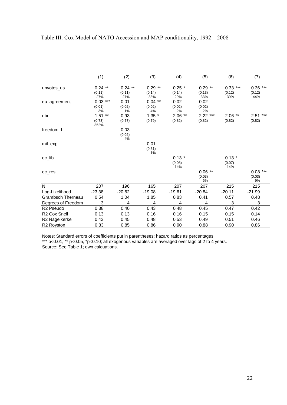|                          | (1)                             | $\overline{(2)}$               | (3)                        | (4)                            | (5)                        | $\overline{(6)}$               | (7)                         |
|--------------------------|---------------------------------|--------------------------------|----------------------------|--------------------------------|----------------------------|--------------------------------|-----------------------------|
| unvotes us               | $0.24$ **<br>(0.11)<br>27%      | $***$<br>0.24<br>(0.11)<br>27% | $0.29$ **<br>(0.14)<br>33% | $0.25 \times$<br>(0.14)<br>29% | $0.29$ **<br>(0.13)<br>33% | $***$<br>0.33<br>(0.12)<br>39% | $0.36$ ***<br>(0.12)<br>44% |
| eu_agreement             | $0.03$ ***<br>(0.01)<br>3%      | 0.01<br>(0.02)<br>1%           | $0.04$ **<br>(0.02)<br>4%  | 0.02<br>(0.02)<br>2%           | 0.02<br>(0.02)<br>2%       |                                |                             |
| nbr                      | 1.51<br>$***$<br>(0.73)<br>352% | 0.93<br>(0.77)                 | $1.35$ *<br>(0.79)         | $2.06$ **<br>(0.82)            | $2.22***$<br>(0.82)        | $2.06$ **<br>(0.82)            | ***<br>2.51<br>(0.82)       |
| freedom_h                |                                 | 0.03<br>(0.02)<br>4%           |                            |                                |                            |                                |                             |
| mil_exp                  |                                 |                                | 0.01<br>(0.31)<br>1%       |                                |                            |                                |                             |
| ec_lib                   |                                 |                                |                            | $0.13*$<br>(0.08)<br>14%       |                            | $0.13*$<br>(0.07)<br>14%       |                             |
| ec res                   |                                 |                                |                            |                                | $0.06$ **<br>(0.03)<br>6%  |                                | $0.08***$<br>(0.03)<br>9%   |
| $\overline{\mathsf{N}}$  | 207                             | 196                            | 165                        | 207                            | 207                        | 215                            | 215                         |
| Log-Likelihood           | $-23.38$                        | $-20.62$                       | $-19.08$                   | $-19.61$                       | $-20.84$                   | $-20.11$                       | $-21.99$                    |
| <b>Grambsch Therneau</b> | 0.54                            | 1.04                           | 1.85                       | 0.83                           | 0.41                       | 0.57                           | 0.48                        |
| Degrees of Freedom       | 3                               | 4                              | 4                          | 4                              | 4                          | 3                              | $\mathsf 3$                 |
| R <sub>2</sub> Pseudo    | 0.38                            | 0.40                           | 0.43                       | 0.48                           | 0.45                       | 0.47                           | 0.42                        |
| R <sub>2</sub> Cox Snell | 0.13                            | 0.13                           | 0.16                       | 0.16                           | 0.15                       | 0.15                           | 0.14                        |
| R2 Nagelkerke            | 0.43                            | 0.45                           | 0.48                       | 0.53                           | 0.49                       | 0.51                           | 0.46                        |
| R2 Royston               | 0.83                            | 0.85                           | 0.86                       | 0.90                           | 0.88                       | 0.90                           | 0.86                        |

Notes: Standard errors of coefficients put in parentheses; hazard ratios as percentages; \*\*\* p<0.01, \*\* p<0.05, \*p<0.10; all exogenous variables are averaged over lags of 2 to 4 years. Source: See Table 1; own calcuations.